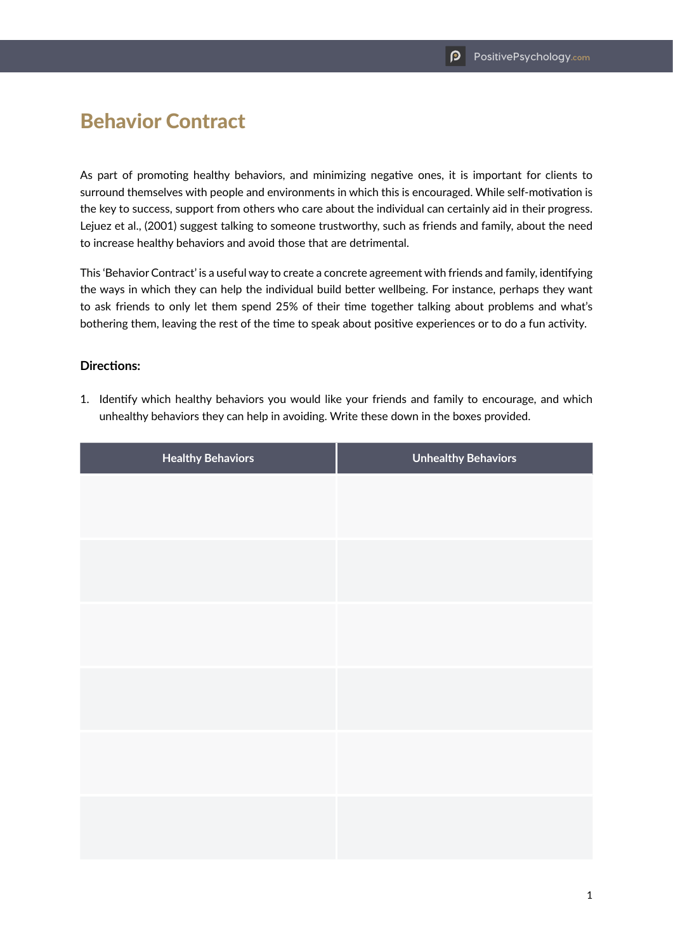## Behavior Contract

As part of promoting healthy behaviors, and minimizing negative ones, it is important for clients to surround themselves with people and environments in which this is encouraged. While self-motivation is the key to success, support from others who care about the individual can certainly aid in their progress. Lejuez et al., (2001) suggest talking to someone trustworthy, such as friends and family, about the need to increase healthy behaviors and avoid those that are detrimental.

This 'Behavior Contract' is a useful way to create a concrete agreement with friends and family, identifying the ways in which they can help the individual build better wellbeing. For instance, perhaps they want to ask friends to only let them spend 25% of their time together talking about problems and what's bothering them, leaving the rest of the time to speak about positive experiences or to do a fun activity.

## **Directions:**

1. Identify which healthy behaviors you would like your friends and family to encourage, and which unhealthy behaviors they can help in avoiding. Write these down in the boxes provided.

| <b>Healthy Behaviors</b> | <b>Unhealthy Behaviors</b> |
|--------------------------|----------------------------|
|                          |                            |
|                          |                            |
|                          |                            |
|                          |                            |
|                          |                            |
|                          |                            |
|                          |                            |
|                          |                            |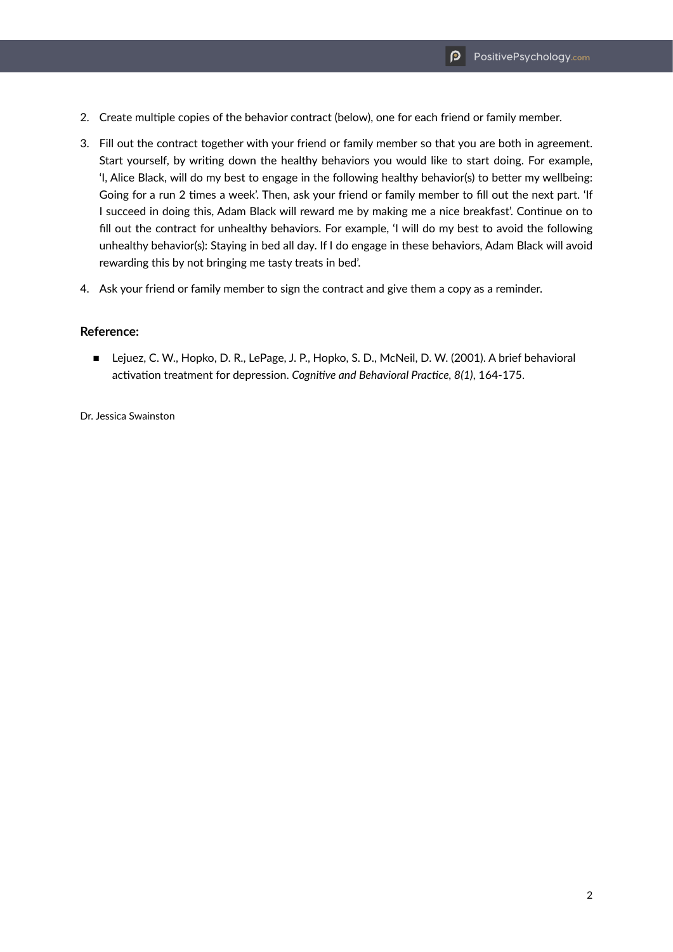- 2. Create multiple copies of the behavior contract (below), one for each friend or family member.
- 3. Fill out the contract together with your friend or family member so that you are both in agreement. Start yourself, by writing down the healthy behaviors you would like to start doing. For example, 'I, Alice Black, will do my best to engage in the following healthy behavior(s) to better my wellbeing: Going for a run 2 times a week'. Then, ask your friend or family member to fill out the next part. 'If I succeed in doing this, Adam Black will reward me by making me a nice breakfast'. Continue on to fill out the contract for unhealthy behaviors. For example, 'I will do my best to avoid the following unhealthy behavior(s): Staying in bed all day. If I do engage in these behaviors, Adam Black will avoid rewarding this by not bringing me tasty treats in bed'.
- 4. Ask your friend or family member to sign the contract and give them a copy as a reminder.

## **Reference:**

■ Lejuez, C. W., Hopko, D. R., LePage, J. P., Hopko, S. D., McNeil, D. W. (2001). A brief behavioral activation treatment for depression. *Cognitive and Behavioral Practice, 8(1)*, 164-175.

Dr. Jessica Swainston